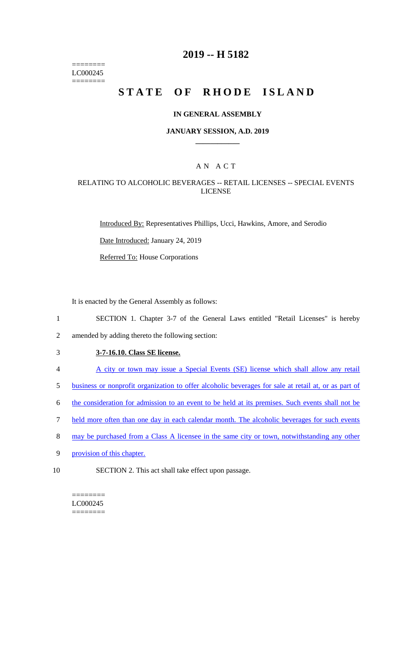======== LC000245 ========

# **2019 -- H 5182**

# **STATE OF RHODE ISLAND**

#### **IN GENERAL ASSEMBLY**

#### **JANUARY SESSION, A.D. 2019 \_\_\_\_\_\_\_\_\_\_\_\_**

## A N A C T

### RELATING TO ALCOHOLIC BEVERAGES -- RETAIL LICENSES -- SPECIAL EVENTS LICENSE

Introduced By: Representatives Phillips, Ucci, Hawkins, Amore, and Serodio

Date Introduced: January 24, 2019

Referred To: House Corporations

It is enacted by the General Assembly as follows:

1 SECTION 1. Chapter 3-7 of the General Laws entitled "Retail Licenses" is hereby

2 amended by adding thereto the following section:

- 3 **3-7-16.10. Class SE license.**
- 4 A city or town may issue a Special Events (SE) license which shall allow any retail
- 5 business or nonprofit organization to offer alcoholic beverages for sale at retail at, or as part of
- 6 the consideration for admission to an event to be held at its premises. Such events shall not be
- 7 held more often than one day in each calendar month. The alcoholic beverages for such events
- 8 may be purchased from a Class A licensee in the same city or town, notwithstanding any other
- 9 provision of this chapter.
- 10 SECTION 2. This act shall take effect upon passage.

======== LC000245 ========